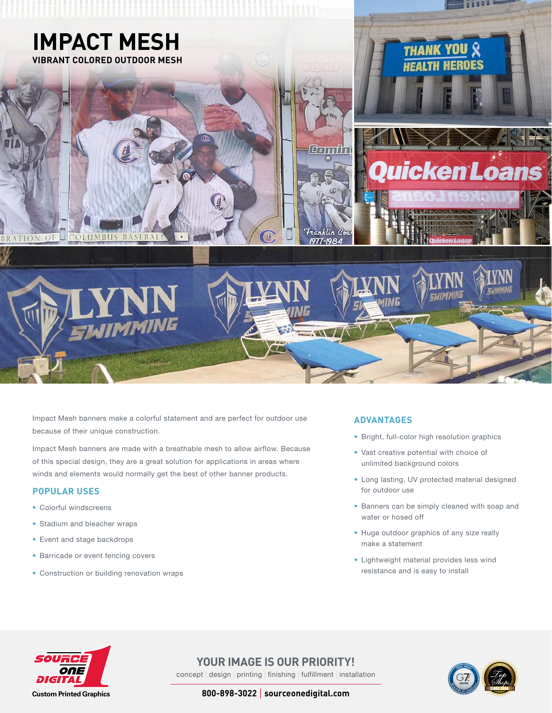

Impact Mesh banners make a colorful statement and are perfect for outdoor use because of their unique construction.

Impact Mesh banners are made with a breathable mesh to allow airflow. Because of this special design, they are a great solution for applications in areas where winds and elements would normally get the best of other banner products.

## **POPULAR USES**

- Colorful windscreens
- Stadium and bleacher wraps
- Event and stage backdrops
- Barricade or event fencing covers
- Construction or building renovation wraps

### **ADVANTAGES**

- Bright, full-color high resolution graphics
- Vast creative potential with choice of unlimited background colors
- Long lasting, UV protected material designed for outdoor use
- Banners can be simply cleaned with soap and water or hosed off
- Huge outdoor graphics of any size really make a statement
- Lightweight material provides less wind resistance and is easy to install



**YOUR IMAGE IS OUR PRIORITY!** concept | design | printing | finishing | fulfillment | installation



**800-898-3022** | **sourceonedigital.com**